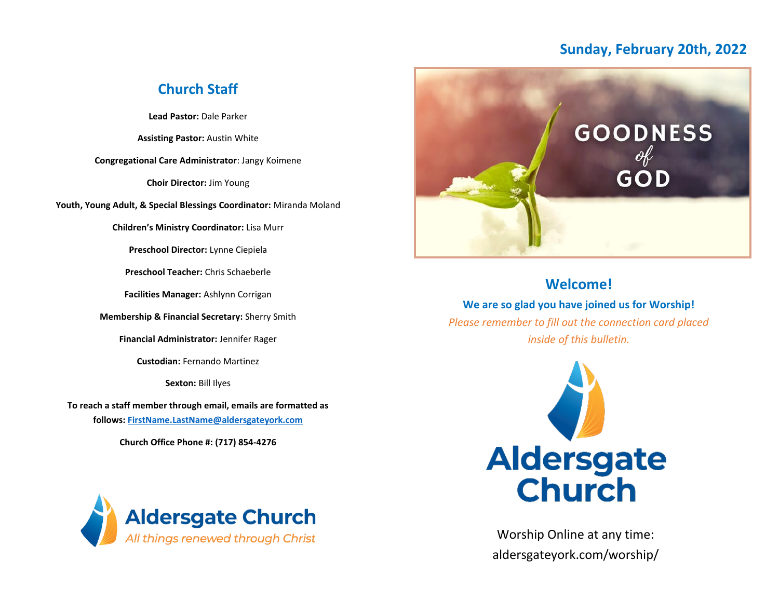## **Sunday, February 20th, 2022**

## **Church Staff**

**Lead Pastor:** Dale Parker

**Assisting Pastor:** Austin White

**Congregational Care Administrator**: Jangy Koimene

**Choir Director:** Jim Young

**Youth, Young Adult, & Special Blessings Coordinator:** Miranda Moland

**Children's Ministry Coordinator:** Lisa Murr

**Preschool Director:** Lynne Ciepiela

**Preschool Teacher:** Chris Schaeberle

**Facilities Manager:** Ashlynn Corrigan

**Membership & Financial Secretary:** Sherry Smith

**Financial Administrator:** Jennifer Rager

**Custodian:** Fernando Martinez

**Sexton:** Bill Ilyes

**To reach a staff member through email, emails are formatted as follows: [FirstName.LastName@aldersgateyork.com](mailto:FirstName.LastName@aldersgateyork.com)**

**Church Office Phone #: (717) 854-4276**





## **Welcome!**

**We are so glad you have joined us for Worship!** *Please remember to fill out the connection card placed inside of this bulletin.*



Worship Online at any time: aldersgateyork.com/worship/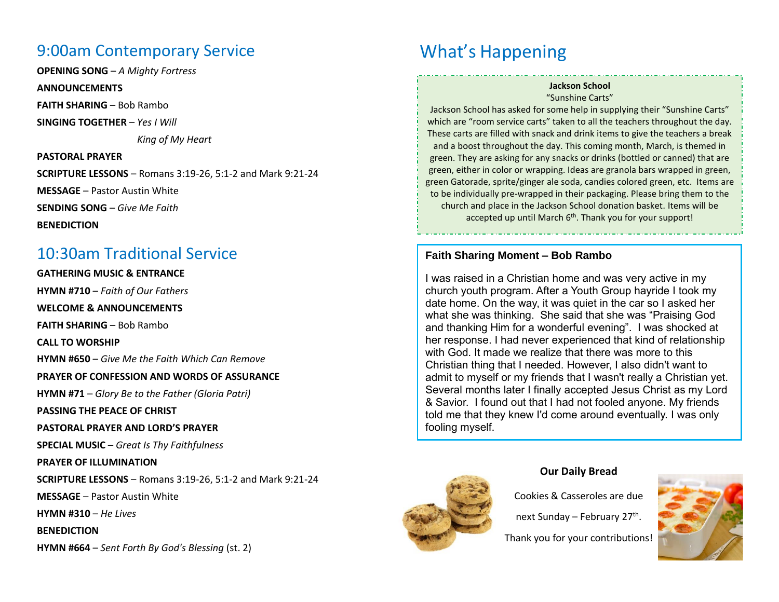# 9:00am Contemporary Service

**OPENING SONG** – *A Mighty Fortress*

#### **ANNOUNCEMENTS**

**FAITH SHARING** – Bob Rambo

**SINGING TOGETHER** – *Yes I Will*

 *King of My Heart*

**PASTORAL PRAYER SCRIPTURE LESSONS** – Romans 3:19-26, 5:1-2 and Mark 9:21-24 **MESSAGE** – Pastor Austin White **SENDING SONG** – *Give Me Faith* **BENEDICTION**

## 10:30am Traditional Service

**GATHERING MUSIC & ENTRANCE HYMN #710** – *Faith of Our Fathers* **WELCOME & ANNOUNCEMENTS FAITH SHARING** – Bob Rambo **CALL TO WORSHIP HYMN #650** – *Give Me the Faith Which Can Remove* **PRAYER OF CONFESSION AND WORDS OF ASSURANCE HYMN #71** – *Glory Be to the Father (Gloria Patri)* **PASSING THE PEACE OF CHRIST PASTORAL PRAYER AND LORD'S PRAYER SPECIAL MUSIC** – *Great Is Thy Faithfulness* **PRAYER OF ILLUMINATION SCRIPTURE LESSONS** – Romans 3:19-26, 5:1-2 and Mark 9:21-24 **MESSAGE** – Pastor Austin White **HYMN #310** – *He Lives* **BENEDICTION HYMN #664** – *Sent Forth By God's Blessing* (st. 2)

# What's Happening

#### **Jackson School** "Sunshine Carts"

Jackson School has asked for some help in supplying their "Sunshine Carts" which are "room service carts" taken to all the teachers throughout the day. These carts are filled with snack and drink items to give the teachers a break and a boost throughout the day. This coming month, March, is themed in green. They are asking for any snacks or drinks (bottled or canned) that are green, either in color or wrapping. Ideas are granola bars wrapped in green, green Gatorade, sprite/ginger ale soda, candies colored green, etc. Items are to be individually pre-wrapped in their packaging. Please bring them to the church and place in the Jackson School donation basket. Items will be accepted up until March 6<sup>th</sup>. Thank you for your support!

### **Faith Sharing Moment – Bob Rambo**

I was raised in a Christian home and was very active in my church youth program. After a Youth Group hayride I took my date home. On the way, it was quiet in the car so I asked her what she was thinking. She said that she was "Praising God and thanking Him for a wonderful evening". I was shocked at her response. I had never experienced that kind of relationship with God. It made we realize that there was more to this Christian thing that I needed. However, I also didn't want to admit to myself or my friends that I wasn't really a Christian yet. Several months later I finally accepted Jesus Christ as my Lord & Savior. I found out that I had not fooled anyone. My friends told me that they knew I'd come around eventually. I was only fooling myself.



#### **Our Daily Bread**

Cookies & Casseroles are due

next Sunday – February 27<sup>th</sup>.

Thank you for your contributions!

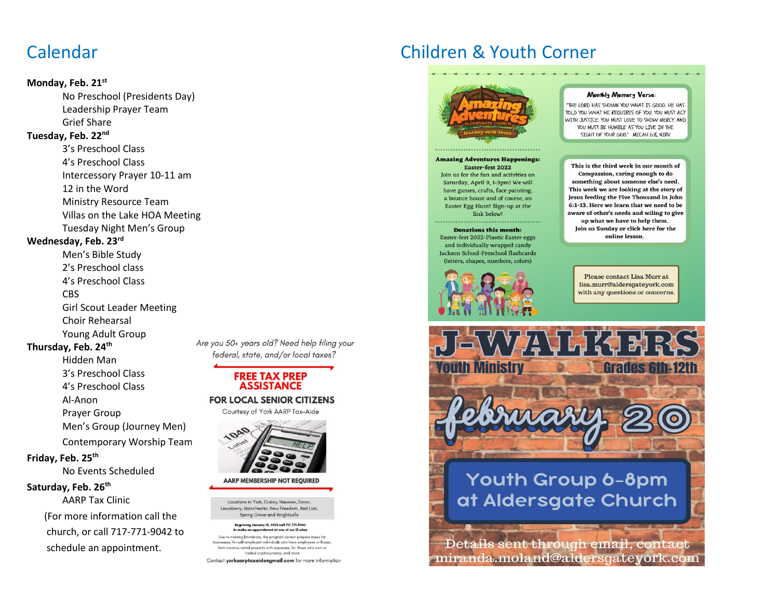# Calendar

#### **Monday, Feb. 21st**

No Preschool (Presidents Day) Leadership Prayer Team Grief Share

#### **Tuesday, Feb. 22nd**

3's Preschool Class 4's Preschool Class Intercessory Prayer 10-11 am 12 in the Word Ministry Resource Team Villas on the Lake HOA Meeting Tuesday Night Men's Group

### **Wednesday, Feb. 23rd**

Men's Bible Study 2's Preschool class 4's Preschool Class CBS Girl Scout Leader Meeting Choir Rehearsal Young Adult Group

### **Thursday, Feb. 24th**

Hidden Man 3's Preschool Class 4's Preschool Class Al-Anon Prayer Group Men's Group (Journey Men) Contemporary Worship Team

### **Friday, Feb. 25th**

No Events Scheduled

#### **Saturday, Feb. 26th**

AARP Tax Clinic (For more information call the church, or call 717-771-9042 to schedule an appointment.

Are you 50+ years old? Need help filing your federal, state, and/or local taxes?

### **FREE TAX PREP ASSISTANCE**

**FOR LOCAL SENIOR CITIZENS** 

Courtesy of York AARP Tax-Aide



**AARP MEMBERSHIP NOT REQUIRED** 

Locations in York, Craley, Hanover, Dover, Lewisberry, Manchester, New Freedom, Red Lion. Spring Grove and Wrightsville

#### **Beginning January 10, 2022 call 717.771.9042** ent at one of our 13 site

Due to training limitations, the program cannot prepare taxes for sses, for self-employed individuals who have employees or losses farm income, rental property with expenses, for those who own or traded cryptocurrency, and more

Contact yorkaarptaxaideegmail.com for more information

# Children & Youth Corner



#### **Amazing Adventures Happenings:** Easter-fest 2022

Join us for the fun and activities on Saturday, April 9, 1-3pm! We will have games, crafts, face painting, a bounce house and of course, an Easter Egg Hunt! Sign-up at the link below!

#### Donations this month:

Easter-fest 2022-Plastic Easter eggs and individually wrapped candy Jackson School-Preschool flashcards (letters, shapes, numbers, colors)



#### Monthly Memory Verse:

"THE LORD HAS SHOWN YOU WHAT IS GOOD. HE HAS TOLD YOU WHAT HE REQUIRES OF YOU. YOU MUST ACT WITH JUSTICE YOU MUST LOVE TO SHOW MERCY AND YOU MUST BE HUMBLE AS YOU LIVE IN THE SIGHT OF YOUR GOD." MICAH 6:8, NIRV

#### This is the third week in our month of Compassion, caring enough to do something about someone else's need. This week we are looking at the story of Jesus feeding the Five Thousand in John 6:1-13. Here we learn that we need to be aware of other's needs and wiling to give

up what we have to help them. Join us Sunday or click here for the online lesson.

Please contact Lisa Murr at lisa.murr@aldersgateyork.com with any questions or concerns.



# Youth Group 6-8pm at Aldersgate Church

Details sent through email, contact miranda.moland@aldersgateyork.com